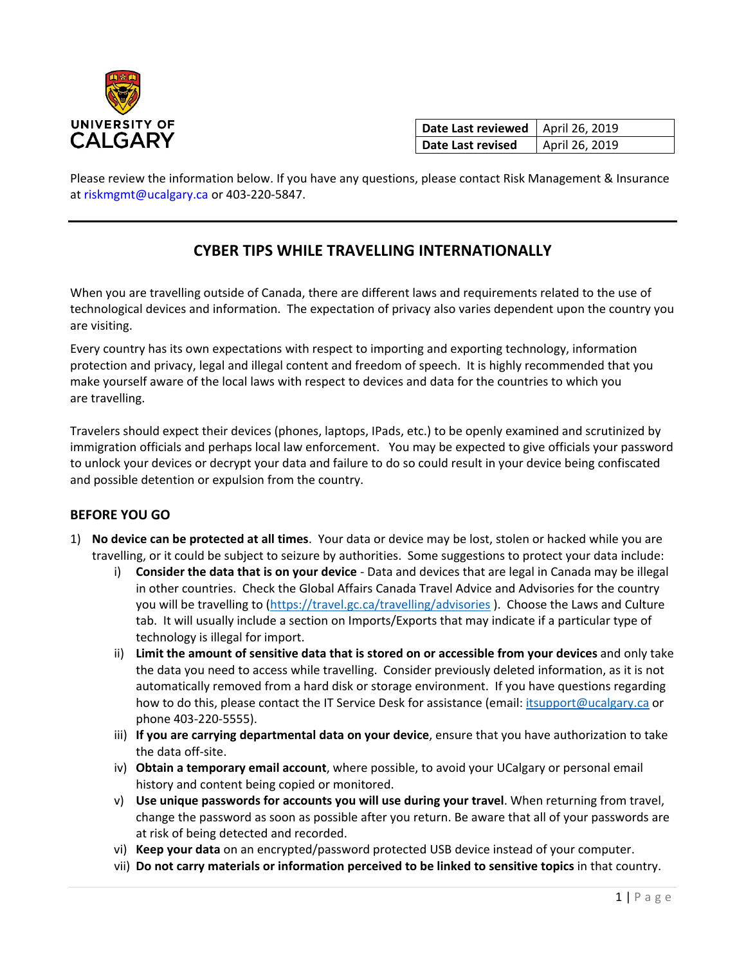

| Date Last reviewed   April 26, 2019 |                |
|-------------------------------------|----------------|
| Date Last revised                   | April 26, 2019 |

Please review the information below. If you have any questions, please contact Risk Management & Insurance at riskmgmt@ucalgary.ca or 403-220-5847.

## **CYBER TIPS WHILE TRAVELLING INTERNATIONALLY**

When you are travelling outside of Canada, there are different laws and requirements related to the use of technological devices and information. The expectation of privacy also varies dependent upon the country you are visiting.

Every country has its own expectations with respect to importing and exporting technology, information protection and privacy, legal and illegal content and freedom of speech. It is highly recommended that you make yourself aware of the local laws with respect to devices and data for the countries to which you are travelling.

Travelers should expect their devices (phones, laptops, IPads, etc.) to be openly examined and scrutinized by immigration officials and perhaps local law enforcement. You may be expected to give officials your password to unlock your devices or decrypt your data and failure to do so could result in your device being confiscated and possible detention or expulsion from the country.

## **BEFORE YOU GO**

- 1) **No device can be protected at all times**. Your data or device may be lost, stolen or hacked while you are travelling, or it could be subject to seizure by authorities. Some suggestions to protect your data include:
	- i) **Consider the data that is on your device** Data and devices that are legal in Canada may be illegal in other countries. Check the Global Affairs Canada Travel Advice and Advisories for the country you will be travelling to [\(https://travel.gc.ca/travelling/advisories](https://travel.gc.ca/travelling/advisories)). Choose the Laws and Culture tab. It will usually include a section on Imports/Exports that may indicate if a particular type of technology is illegal for import.
	- ii) **Limit the amount of sensitive data that is stored on or accessible from your devices** and only take the data you need to access while travelling. Consider previously deleted information, as it is not automatically removed from a hard disk or storage environment. If you have questions regarding how to do this, please contact the IT Service Desk for assistance (email: [itsupport@ucalgary.ca](mailto:itsupport@ucalgary.ca) or phone 403-220-5555).
	- iii) **If you are carrying departmental data on your device**, ensure that you have authorization to take the data off-site.
	- iv) **Obtain a temporary email account**, where possible, to avoid your UCalgary or personal email history and content being copied or monitored.
	- v) **Use unique passwords for accounts you will use during your travel**. When returning from travel, change the password as soon as possible after you return. Be aware that all of your passwords are at risk of being detected and recorded.
	- vi) **Keep your data** on an encrypted/password protected USB device instead of your computer.
	- vii) **Do not carry materials or information perceived to be linked to sensitive topics** in that country.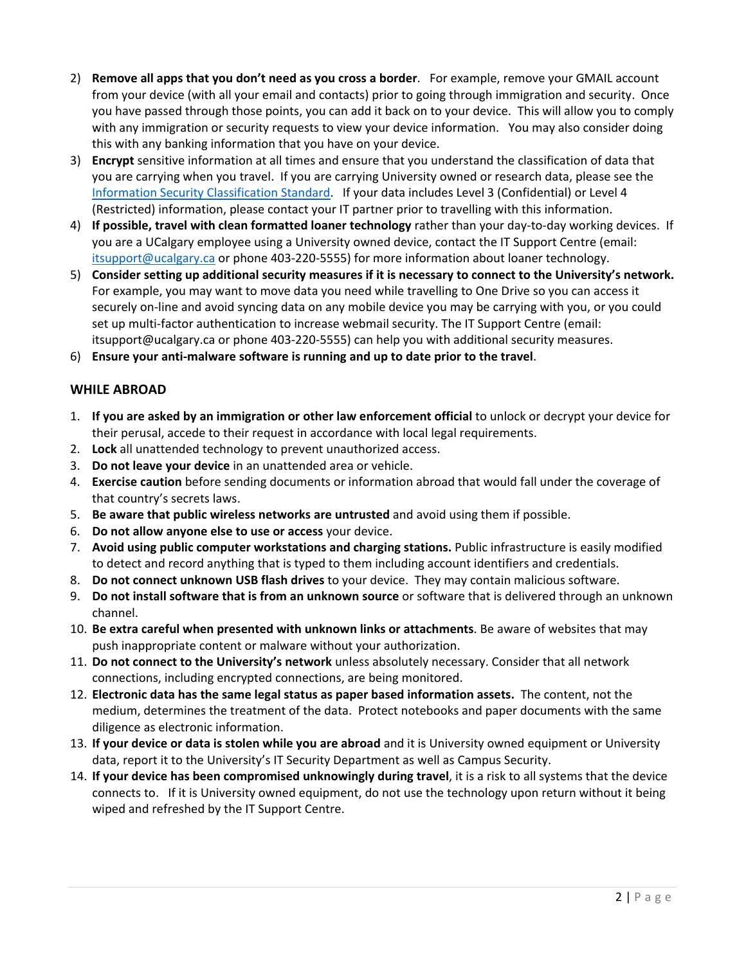- 2) **Remove all apps that you don't need as you cross a border**. For example, remove your GMAIL account from your device (with all your email and contacts) prior to going through immigration and security. Once you have passed through those points, you can add it back on to your device. This will allow you to comply with any immigration or security requests to view your device information. You may also consider doing this with any banking information that you have on your device.
- 3) **Encrypt** sensitive information at all times and ensure that you understand the classification of data that you are carrying when you travel. If you are carrying University owned or research data, please see the [Information Security Classification Standard.](https://www.ucalgary.ca/legal-services/sites/default/files/teams/1/Standards-Legal-Information-Security-Classification-Standard.pdf) If your data includes Level 3 (Confidential) or Level 4 (Restricted) information, please contact your IT partner prior to travelling with this information.
- 4) **If possible, travel with clean formatted loaner technology** rather than your day-to-day working devices. If you are a UCalgary employee using a University owned device, contact the IT Support Centre (email: [itsupport@ucalgary.ca](mailto:itsupport@ucalgary.ca) or phone 403-220-5555) for more information about loaner technology.
- 5) **Consider setting up additional security measures if it is necessary to connect to the University's network.** For example, you may want to move data you need while travelling to One Drive so you can access it securely on-line and avoid syncing data on any mobile device you may be carrying with you, or you could set up multi-factor authentication to increase webmail security. The IT Support Centre (email: itsupport@ucalgary.ca or phone 403-220-5555) can help you with additional security measures.
- 6) **Ensure your anti-malware software is running and up to date prior to the travel**.

## **WHILE ABROAD**

- 1. **If you are asked by an immigration or other law enforcement official** to unlock or decrypt your device for their perusal, accede to their request in accordance with local legal requirements.
- 2. **Lock** all unattended technology to prevent unauthorized access.
- 3. **Do not leave your device** in an unattended area or vehicle.
- 4. **Exercise caution** before sending documents or information abroad that would fall under the coverage of that country's secrets laws.
- 5. **Be aware that public wireless networks are untrusted** and avoid using them if possible.
- 6. **Do not allow anyone else to use or access** your device.
- 7. **Avoid using public computer workstations and charging stations.** Public infrastructure is easily modified to detect and record anything that is typed to them including account identifiers and credentials.
- 8. **Do not connect unknown USB flash drives** to your device. They may contain malicious software.
- 9. **Do not install software that is from an unknown source** or software that is delivered through an unknown channel.
- 10. **Be extra careful when presented with unknown links or attachments**. Be aware of websites that may push inappropriate content or malware without your authorization.
- 11. **Do not connect to the University's network** unless absolutely necessary. Consider that all network connections, including encrypted connections, are being monitored.
- 12. **Electronic data has the same legal status as paper based information assets.** The content, not the medium, determines the treatment of the data. Protect notebooks and paper documents with the same diligence as electronic information.
- 13. **If your device or data is stolen while you are abroad** and it is University owned equipment or University data, report it to the University's IT Security Department as well as Campus Security.
- 14. **If your device has been compromised unknowingly during travel**, it is a risk to all systems that the device connects to. If it is University owned equipment, do not use the technology upon return without it being wiped and refreshed by the IT Support Centre.